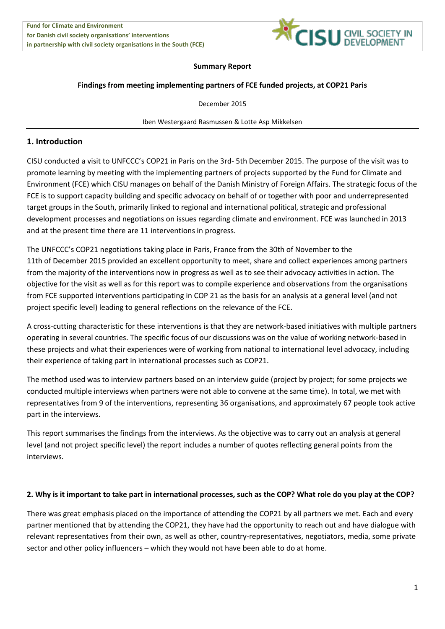

# **Summary Report**

## **Findings from meeting implementing partners of FCE funded projects, at COP21 Paris**

December 2015

Iben Westergaard Rasmussen & Lotte Asp Mikkelsen

# **1. Introduction**

CISU conducted a visit to UNFCCC's COP21 in Paris on the 3rd- 5th December 2015. The purpose of the visit was to promote learning by meeting with the implementing partners of projects supported by the Fund for Climate and Environment (FCE) which CISU manages on behalf of the Danish Ministry of Foreign Affairs. The strategic focus of the FCE is to support capacity building and specific advocacy on behalf of or together with poor and underrepresented target groups in the South, primarily linked to regional and international political, strategic and professional development processes and negotiations on issues regarding climate and environment. FCE was launched in 2013 and at the present time there are 11 interventions in progress.

The UNFCCC's COP21 negotiations taking place in Paris, France from the 30th of November to the 11th of December 2015 provided an excellent opportunity to meet, share and collect experiences among partners from the majority of the interventions now in progress as well as to see their advocacy activities in action. The objective for the visit as well as for this report was to compile experience and observations from the organisations from FCE supported interventions participating in COP 21 as the basis for an analysis at a general level (and not project specific level) leading to general reflections on the relevance of the FCE.

A cross-cutting characteristic for these interventions is that they are network-based initiatives with multiple partners operating in several countries. The specific focus of our discussions was on the value of working network-based in these projects and what their experiences were of working from national to international level advocacy, including their experience of taking part in international processes such as COP21.

The method used was to interview partners based on an interview guide (project by project; for some projects we conducted multiple interviews when partners were not able to convene at the same time). In total, we met with representatives from 9 of the interventions, representing 36 organisations, and approximately 67 people took active part in the interviews.

This report summarises the findings from the interviews. As the objective was to carry out an analysis at general level (and not project specific level) the report includes a number of quotes reflecting general points from the interviews.

#### **2. Why is it important to take part in international processes, such as the COP? What role do you play at the COP?**

There was great emphasis placed on the importance of attending the COP21 by all partners we met. Each and every partner mentioned that by attending the COP21, they have had the opportunity to reach out and have dialogue with relevant representatives from their own, as well as other, country-representatives, negotiators, media, some private sector and other policy influencers – which they would not have been able to do at home.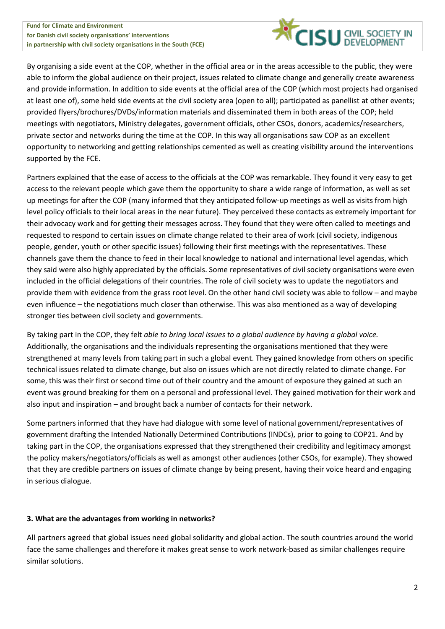

By organising a side event at the COP, whether in the official area or in the areas accessible to the public, they were able to inform the global audience on their project, issues related to climate change and generally create awareness and provide information. In addition to side events at the official area of the COP (which most projects had organised at least one of), some held side events at the civil society area (open to all); participated as panellist at other events; provided flyers/brochures/DVDs/information materials and disseminated them in both areas of the COP; held meetings with negotiators, Ministry delegates, government officials, other CSOs, donors, academics/researchers, private sector and networks during the time at the COP. In this way all organisations saw COP as an excellent opportunity to networking and getting relationships cemented as well as creating visibility around the interventions supported by the FCE.

Partners explained that the ease of access to the officials at the COP was remarkable. They found it very easy to get access to the relevant people which gave them the opportunity to share a wide range of information, as well as set up meetings for after the COP (many informed that they anticipated follow-up meetings as well as visits from high level policy officials to their local areas in the near future). They perceived these contacts as extremely important for their advocacy work and for getting their messages across. They found that they were often called to meetings and requested to respond to certain issues on climate change related to their area of work (civil society, indigenous people, gender, youth or other specific issues) following their first meetings with the representatives. These channels gave them the chance to feed in their local knowledge to national and international level agendas, which they said were also highly appreciated by the officials. Some representatives of civil society organisations were even included in the official delegations of their countries. The role of civil society was to update the negotiators and provide them with evidence from the grass root level. On the other hand civil society was able to follow – and maybe even influence – the negotiations much closer than otherwise. This was also mentioned as a way of developing stronger ties between civil society and governments.

By taking part in the COP, they felt *able to bring local issues to a global audience by having a global voice.* Additionally, the organisations and the individuals representing the organisations mentioned that they were strengthened at many levels from taking part in such a global event. They gained knowledge from others on specific technical issues related to climate change, but also on issues which are not directly related to climate change. For some, this was their first or second time out of their country and the amount of exposure they gained at such an event was ground breaking for them on a personal and professional level. They gained motivation for their work and also input and inspiration – and brought back a number of contacts for their network.

Some partners informed that they have had dialogue with some level of national government/representatives of government drafting the Intended Nationally Determined Contributions (INDCs), prior to going to COP21. And by taking part in the COP, the organisations expressed that they strengthened their credibility and legitimacy amongst the policy makers/negotiators/officials as well as amongst other audiences (other CSOs, for example). They showed that they are credible partners on issues of climate change by being present, having their voice heard and engaging in serious dialogue.

# **3. What are the advantages from working in networks?**

All partners agreed that global issues need global solidarity and global action. The south countries around the world face the same challenges and therefore it makes great sense to work network-based as similar challenges require similar solutions.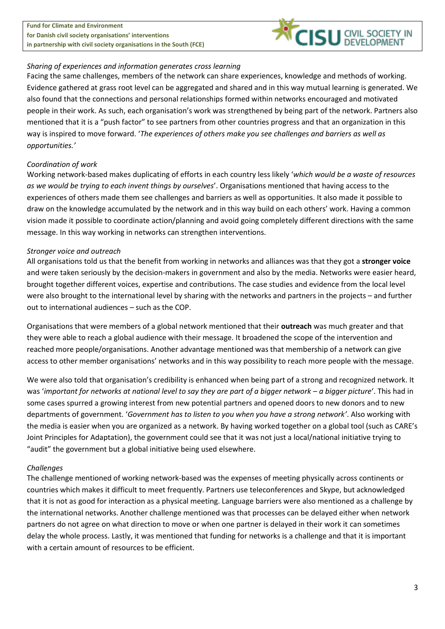**Fund for Climate and Environment for Danish civil society organisations' interventions in partnership with civil society organisations in the South (FCE)**



## *Sharing of experiences and information generates cross learning*

Facing the same challenges, members of the network can share experiences, knowledge and methods of working. Evidence gathered at grass root level can be aggregated and shared and in this way mutual learning is generated. We also found that the connections and personal relationships formed within networks encouraged and motivated people in their work. As such, each organisation's work was strengthened by being part of the network. Partners also mentioned that it is a "push factor" to see partners from other countries progress and that an organization in this way is inspired to move forward. '*The experiences of others make you see challenges and barriers as well as opportunities.'*

## *Coordination of work*

Working network-based makes duplicating of efforts in each country less likely '*which would be a waste of resources as we would be trying to each invent things by ourselves*'. Organisations mentioned that having access to the experiences of others made them see challenges and barriers as well as opportunities. It also made it possible to draw on the knowledge accumulated by the network and in this way build on each others' work. Having a common vision made it possible to coordinate action/planning and avoid going completely different directions with the same message. In this way working in networks can strengthen interventions.

# *Stronger voice and outreach*

All organisations told us that the benefit from working in networks and alliances was that they got a **stronger voice** and were taken seriously by the decision-makers in government and also by the media. Networks were easier heard, brought together different voices, expertise and contributions. The case studies and evidence from the local level were also brought to the international level by sharing with the networks and partners in the projects – and further out to international audiences – such as the COP.

Organisations that were members of a global network mentioned that their **outreach** was much greater and that they were able to reach a global audience with their message. It broadened the scope of the intervention and reached more people/organisations. Another advantage mentioned was that membership of a network can give access to other member organisations' networks and in this way possibility to reach more people with the message.

We were also told that organisation's credibility is enhanced when being part of a strong and recognized network. It was 'important for networks at national level to say they are part of a bigger network – a bigger picture'. This had in some cases spurred a growing interest from new potential partners and opened doors to new donors and to new departments of government. '*Government has to listen to you when you have a strong network'*. Also working with the media is easier when you are organized as a network. By having worked together on a global tool (such as CARE's Joint Principles for Adaptation), the government could see that it was not just a local/national initiative trying to "audit" the government but a global initiative being used elsewhere.

#### *Challenges*

The challenge mentioned of working network-based was the expenses of meeting physically across continents or countries which makes it difficult to meet frequently. Partners use teleconferences and Skype, but acknowledged that it is not as good for interaction as a physical meeting. Language barriers were also mentioned as a challenge by the international networks. Another challenge mentioned was that processes can be delayed either when network partners do not agree on what direction to move or when one partner is delayed in their work it can sometimes delay the whole process. Lastly, it was mentioned that funding for networks is a challenge and that it is important with a certain amount of resources to be efficient.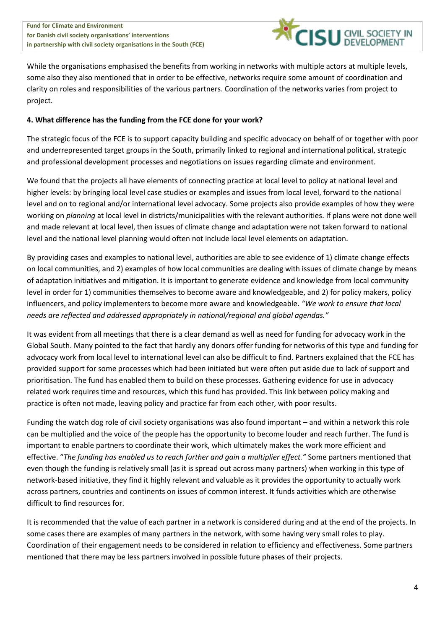

While the organisations emphasised the benefits from working in networks with multiple actors at multiple levels, some also they also mentioned that in order to be effective, networks require some amount of coordination and clarity on roles and responsibilities of the various partners. Coordination of the networks varies from project to project.

# **4. What difference has the funding from the FCE done for your work?**

The strategic focus of the FCE is to support capacity building and specific advocacy on behalf of or together with poor and underrepresented target groups in the South, primarily linked to regional and international political, strategic and professional development processes and negotiations on issues regarding climate and environment.

We found that the projects all have elements of connecting practice at local level to policy at national level and higher levels: by bringing local level case studies or examples and issues from local level, forward to the national level and on to regional and/or international level advocacy. Some projects also provide examples of how they were working on *planning* at local level in districts/municipalities with the relevant authorities. If plans were not done well and made relevant at local level, then issues of climate change and adaptation were not taken forward to national level and the national level planning would often not include local level elements on adaptation.

By providing cases and examples to national level, authorities are able to see evidence of 1) climate change effects on local communities, and 2) examples of how local communities are dealing with issues of climate change by means of adaptation initiatives and mitigation. It is important to generate evidence and knowledge from local community level in order for 1) communities themselves to become aware and knowledgeable, and 2) for policy makers, policy influencers, and policy implementers to become more aware and knowledgeable. *"We work to ensure that local needs are reflected and addressed appropriately in national/regional and global agendas."*

It was evident from all meetings that there is a clear demand as well as need for funding for advocacy work in the Global South. Many pointed to the fact that hardly any donors offer funding for networks of this type and funding for advocacy work from local level to international level can also be difficult to find. Partners explained that the FCE has provided support for some processes which had been initiated but were often put aside due to lack of support and prioritisation. The fund has enabled them to build on these processes. Gathering evidence for use in advocacy related work requires time and resources, which this fund has provided. This link between policy making and practice is often not made, leaving policy and practice far from each other, with poor results.

Funding the watch dog role of civil society organisations was also found important – and within a network this role can be multiplied and the voice of the people has the opportunity to become louder and reach further. The fund is important to enable partners to coordinate their work, which ultimately makes the work more efficient and effective. "*The funding has enabled us to reach further and gain a multiplier effect."* Some partners mentioned that even though the funding is relatively small (as it is spread out across many partners) when working in this type of network-based initiative, they find it highly relevant and valuable as it provides the opportunity to actually work across partners, countries and continents on issues of common interest. It funds activities which are otherwise difficult to find resources for.

It is recommended that the value of each partner in a network is considered during and at the end of the projects. In some cases there are examples of many partners in the network, with some having very small roles to play. Coordination of their engagement needs to be considered in relation to efficiency and effectiveness. Some partners mentioned that there may be less partners involved in possible future phases of their projects.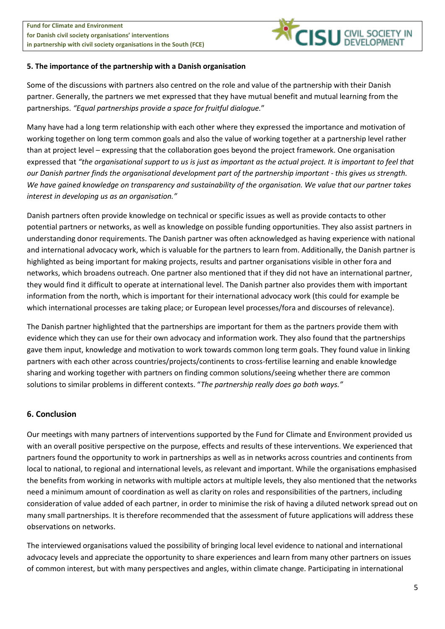

## **5. The importance of the partnership with a Danish organisation**

Some of the discussions with partners also centred on the role and value of the partnership with their Danish partner. Generally, the partners we met expressed that they have mutual benefit and mutual learning from the partnerships. *"Equal partnerships provide a space for fruitful dialogue.*"

Many have had a long term relationship with each other where they expressed the importance and motivation of working together on long term common goals and also the value of working together at a partnership level rather than at project level – expressing that the collaboration goes beyond the project framework. One organisation expressed that *"the organisational support to us is just as important as the actual project. It is important to feel that our Danish partner finds the organisational development part of the partnership important - this gives us strength. We have gained knowledge on transparency and sustainability of the organisation. We value that our partner takes interest in developing us as an organisation."*

Danish partners often provide knowledge on technical or specific issues as well as provide contacts to other potential partners or networks, as well as knowledge on possible funding opportunities. They also assist partners in understanding donor requirements. The Danish partner was often acknowledged as having experience with national and international advocacy work, which is valuable for the partners to learn from. Additionally, the Danish partner is highlighted as being important for making projects, results and partner organisations visible in other fora and networks, which broadens outreach. One partner also mentioned that if they did not have an international partner, they would find it difficult to operate at international level. The Danish partner also provides them with important information from the north, which is important for their international advocacy work (this could for example be which international processes are taking place; or European level processes/fora and discourses of relevance).

The Danish partner highlighted that the partnerships are important for them as the partners provide them with evidence which they can use for their own advocacy and information work. They also found that the partnerships gave them input, knowledge and motivation to work towards common long term goals. They found value in linking partners with each other across countries/projects/continents to cross-fertilise learning and enable knowledge sharing and working together with partners on finding common solutions/seeing whether there are common solutions to similar problems in different contexts. "*The partnership really does go both ways."*

# **6. Conclusion**

Our meetings with many partners of interventions supported by the Fund for Climate and Environment provided us with an overall positive perspective on the purpose, effects and results of these interventions. We experienced that partners found the opportunity to work in partnerships as well as in networks across countries and continents from local to national, to regional and international levels, as relevant and important. While the organisations emphasised the benefits from working in networks with multiple actors at multiple levels, they also mentioned that the networks need a minimum amount of coordination as well as clarity on roles and responsibilities of the partners, including consideration of value added of each partner, in order to minimise the risk of having a diluted network spread out on many small partnerships. It is therefore recommended that the assessment of future applications will address these observations on networks.

The interviewed organisations valued the possibility of bringing local level evidence to national and international advocacy levels and appreciate the opportunity to share experiences and learn from many other partners on issues of common interest, but with many perspectives and angles, within climate change. Participating in international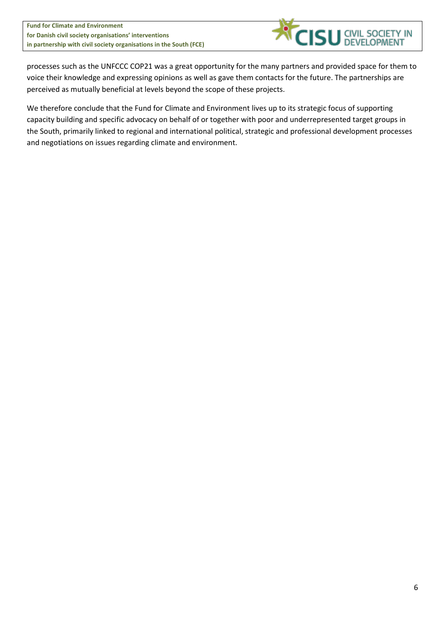

processes such as the UNFCCC COP21 was a great opportunity for the many partners and provided space for them to voice their knowledge and expressing opinions as well as gave them contacts for the future. The partnerships are perceived as mutually beneficial at levels beyond the scope of these projects.

We therefore conclude that the Fund for Climate and Environment lives up to its strategic focus of supporting capacity building and specific advocacy on behalf of or together with poor and underrepresented target groups in the South, primarily linked to regional and international political, strategic and professional development processes and negotiations on issues regarding climate and environment.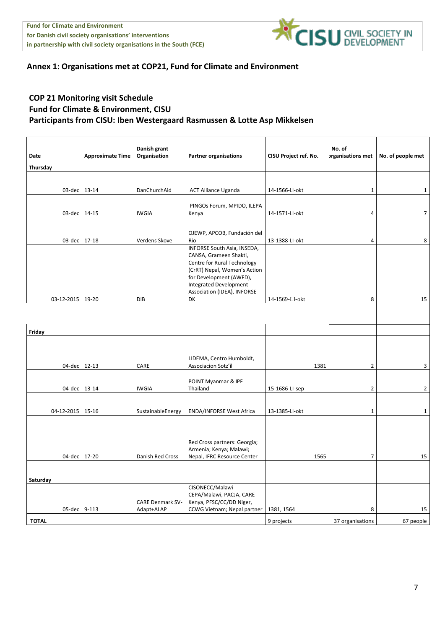

# **Annex 1: Organisations met at COP21, Fund for Climate and Environment**

# **COP 21 Monitoring visit Schedule Fund for Climate & Environment, CISU Participants from CISU: Iben Westergaard Rasmussen & Lotte Asp Mikkelsen**

|                  |                         | Danish grant            |                                                        |                       | No. of                   |                   |
|------------------|-------------------------|-------------------------|--------------------------------------------------------|-----------------------|--------------------------|-------------------|
| Date             | <b>Approximate Time</b> | Organisation            | <b>Partner organisations</b>                           | CISU Project ref. No. | <b>prganisations met</b> | No. of people met |
| Thursday         |                         |                         |                                                        |                       |                          |                   |
|                  |                         |                         |                                                        |                       |                          |                   |
|                  |                         |                         |                                                        |                       |                          |                   |
| 03-dec 13-14     |                         | DanChurchAid            | <b>ACT Alliance Uganda</b>                             | 14-1566-LI-okt        | $\mathbf 1$              | $\mathbf{1}$      |
|                  |                         |                         | PINGOs Forum, MPIDO, ILEPA                             |                       |                          |                   |
| 03-dec 14-15     |                         | <b>IWGIA</b>            | Kenya                                                  | 14-1571-LI-okt        | 4                        | $\overline{7}$    |
|                  |                         |                         |                                                        |                       |                          |                   |
|                  |                         |                         | OJEWP, APCOB, Fundación del                            |                       |                          |                   |
| 03-dec 17-18     |                         | Verdens Skove           | Rio                                                    | 13-1388-LI-okt        | 4                        | 8                 |
|                  |                         |                         | INFORSE South Asia, INSEDA,                            |                       |                          |                   |
|                  |                         |                         | CANSA, Grameen Shakti,<br>Centre for Rural Technology  |                       |                          |                   |
|                  |                         |                         | (CrRT) Nepal, Women's Action                           |                       |                          |                   |
|                  |                         |                         | for Development (AWFD),                                |                       |                          |                   |
|                  |                         |                         | Integrated Development                                 |                       |                          |                   |
|                  |                         |                         | Association (IDEA), INFORSE                            |                       |                          |                   |
| 03-12-2015 19-20 |                         | DIB                     | DK                                                     | 14-1569-LI-okt        | 8                        | 15                |
|                  |                         |                         |                                                        |                       |                          |                   |
|                  |                         |                         |                                                        |                       |                          |                   |
| Friday           |                         |                         |                                                        |                       |                          |                   |
|                  |                         |                         |                                                        |                       |                          |                   |
|                  |                         |                         |                                                        |                       |                          |                   |
|                  |                         |                         | LIDEMA, Centro Humboldt,                               |                       |                          |                   |
| 04-dec 12-13     |                         | CARE                    | Associacion Sotz'il                                    | 1381                  | $\overline{2}$           | 3                 |
|                  |                         |                         |                                                        |                       |                          |                   |
|                  |                         |                         | POINT Myanmar & IPF                                    |                       |                          |                   |
| 04-dec 13-14     |                         | <b>IWGIA</b>            | Thailand                                               | 15-1686-LI-sep        | $\overline{2}$           | $\overline{2}$    |
|                  |                         |                         |                                                        |                       |                          |                   |
| 04-12-2015 15-16 |                         | SustainableEnergy       | <b>ENDA/INFORSE West Africa</b>                        | 13-1385-LI-okt        | $\mathbf 1$              | $\mathbf{1}$      |
|                  |                         |                         |                                                        |                       |                          |                   |
|                  |                         |                         |                                                        |                       |                          |                   |
|                  |                         |                         |                                                        |                       |                          |                   |
|                  |                         |                         | Red Cross partners: Georgia;                           |                       |                          |                   |
| 04-dec 17-20     |                         | Danish Red Cross        | Armenia; Kenya; Malawi;<br>Nepal, IFRC Resource Center | 1565                  | $\overline{7}$           | 15                |
|                  |                         |                         |                                                        |                       |                          |                   |
|                  |                         |                         |                                                        |                       |                          |                   |
| Saturday         |                         |                         |                                                        |                       |                          |                   |
|                  |                         |                         | CISONECC/Malawi                                        |                       |                          |                   |
|                  |                         | <b>CARE Denmark SV-</b> | CEPA/Malawi, PACJA, CARE<br>Kenya, PFSC/CC/DD Niger,   |                       |                          |                   |
| 05-dec 9-113     |                         | Adapt+ALAP              | CCWG Vietnam; Nepal partner                            | 1381, 1564            | 8                        | 15                |
|                  |                         |                         |                                                        |                       |                          |                   |
| <b>TOTAL</b>     |                         |                         |                                                        | 9 projects            | 37 organisations         | 67 people         |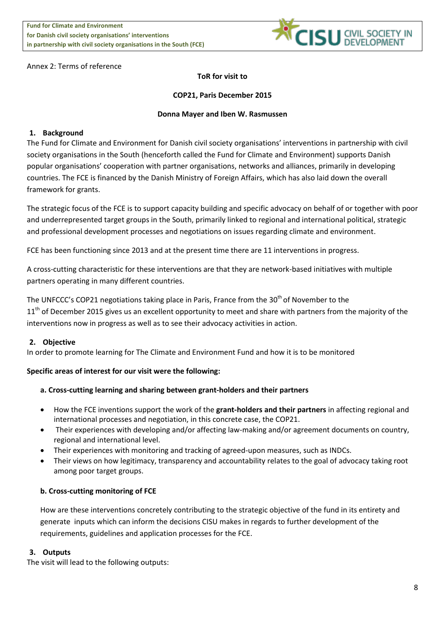

#### Annex 2: Terms of reference

# **ToR for visit to**

## **COP21, Paris December 2015**

## **Donna Mayer and Iben W. Rasmussen**

## **1. Background**

The Fund for Climate and Environment for Danish civil society organisations' interventions in partnership with civil society organisations in the South (henceforth called the Fund for Climate and Environment) supports Danish popular organisations' cooperation with partner organisations, networks and alliances, primarily in developing countries. The FCE is financed by the Danish Ministry of Foreign Affairs, which has also laid down the overall framework for grants.

The strategic focus of the FCE is to support capacity building and specific advocacy on behalf of or together with poor and underrepresented target groups in the South, primarily linked to regional and international political, strategic and professional development processes and negotiations on issues regarding climate and environment.

FCE has been functioning since 2013 and at the present time there are 11 interventions in progress.

A cross-cutting characteristic for these interventions are that they are network-based initiatives with multiple partners operating in many different countries.

The UNFCCC's COP21 negotiations taking place in Paris, France from the  $30<sup>th</sup>$  of November to the 11<sup>th</sup> of December 2015 gives us an excellent opportunity to meet and share with partners from the majority of the interventions now in progress as well as to see their advocacy activities in action.

#### **2. Objective**

In order to promote learning for The Climate and Environment Fund and how it is to be monitored

#### **Specific areas of interest for our visit were the following:**

# **a. Cross-cutting learning and sharing between grant-holders and their partners**

- How the FCE inventions support the work of the **grant-holders and their partners** in affecting regional and international processes and negotiation, in this concrete case, the COP21.
- Their experiences with developing and/or affecting law-making and/or agreement documents on country, regional and international level.
- Their experiences with monitoring and tracking of agreed-upon measures, such as INDCs.
- Their views on how legitimacy, transparency and accountability relates to the goal of advocacy taking root among poor target groups.

# **b. Cross-cutting monitoring of FCE**

How are these interventions concretely contributing to the strategic objective of the fund in its entirety and generate inputs which can inform the decisions CISU makes in regards to further development of the requirements, guidelines and application processes for the FCE.

#### **3. Outputs**

The visit will lead to the following outputs: